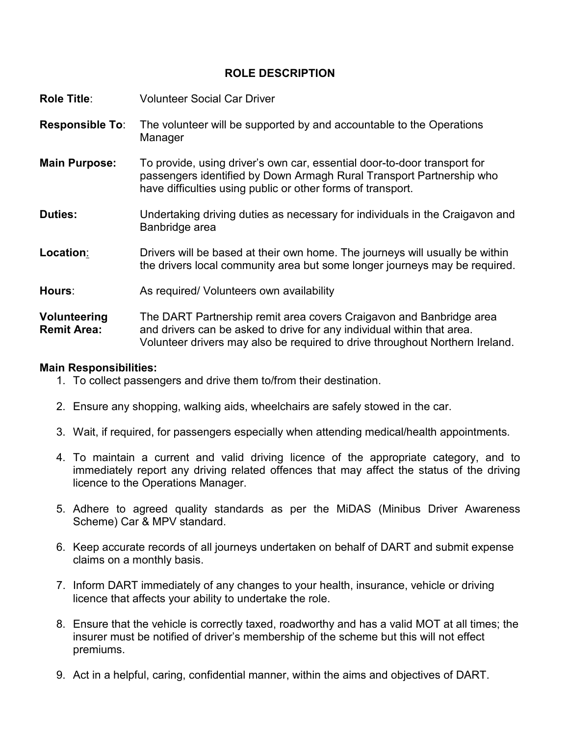## **ROLE DESCRIPTION**

| <b>Role Title:</b>                 | <b>Volunteer Social Car Driver</b>                                                                                                                                                                              |
|------------------------------------|-----------------------------------------------------------------------------------------------------------------------------------------------------------------------------------------------------------------|
| <b>Responsible To:</b>             | The volunteer will be supported by and accountable to the Operations<br>Manager                                                                                                                                 |
| <b>Main Purpose:</b>               | To provide, using driver's own car, essential door-to-door transport for<br>passengers identified by Down Armagh Rural Transport Partnership who<br>have difficulties using public or other forms of transport. |
| <b>Duties:</b>                     | Undertaking driving duties as necessary for individuals in the Craigavon and<br>Banbridge area                                                                                                                  |
| Location:                          | Drivers will be based at their own home. The journeys will usually be within<br>the drivers local community area but some longer journeys may be required.                                                      |
| Hours:                             | As required/ Volunteers own availability                                                                                                                                                                        |
| Volunteering<br><b>Remit Area:</b> | The DART Partnership remit area covers Craigavon and Banbridge area<br>and drivers can be asked to drive for any individual within that area.                                                                   |

# Volunteer drivers may also be required to drive throughout Northern Ireland.

### **Main Responsibilities:**

- 1. To collect passengers and drive them to/from their destination.
- 2. Ensure any shopping, walking aids, wheelchairs are safely stowed in the car.
- 3. Wait, if required, for passengers especially when attending medical/health appointments.
- 4. To maintain a current and valid driving licence of the appropriate category, and to immediately report any driving related offences that may affect the status of the driving licence to the Operations Manager.
- 5. Adhere to agreed quality standards as per the MiDAS (Minibus Driver Awareness Scheme) Car & MPV standard.
- 6. Keep accurate records of all journeys undertaken on behalf of DART and submit expense claims on a monthly basis.
- 7. Inform DART immediately of any changes to your health, insurance, vehicle or driving licence that affects your ability to undertake the role.
- 8. Ensure that the vehicle is correctly taxed, roadworthy and has a valid MOT at all times; the insurer must be notified of driver's membership of the scheme but this will not effect premiums.
- 9. Act in a helpful, caring, confidential manner, within the aims and objectives of DART.